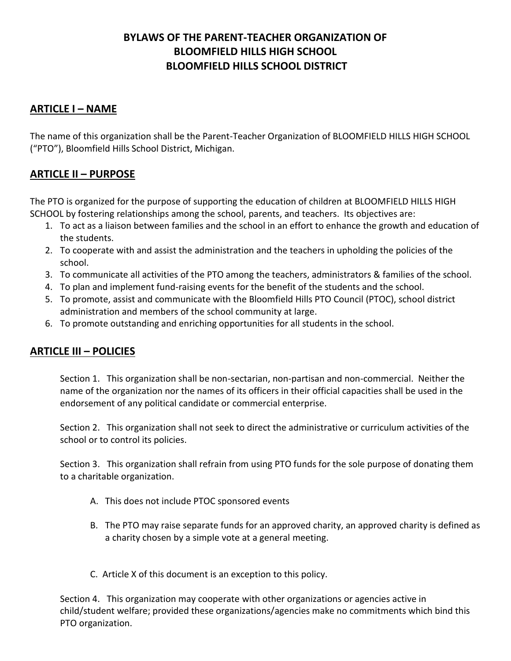# **BYLAWS OF THE PARENT-TEACHER ORGANIZATION OF BLOOMFIELD HILLS HIGH SCHOOL BLOOMFIELD HILLS SCHOOL DISTRICT**

### **ARTICLE I – NAME**

The name of this organization shall be the Parent-Teacher Organization of BLOOMFIELD HILLS HIGH SCHOOL ("PTO"), Bloomfield Hills School District, Michigan.

## **ARTICLE II – PURPOSE**

The PTO is organized for the purpose of supporting the education of children at BLOOMFIELD HILLS HIGH SCHOOL by fostering relationships among the school, parents, and teachers. Its objectives are:

- 1. To act as a liaison between families and the school in an effort to enhance the growth and education of the students.
- 2. To cooperate with and assist the administration and the teachers in upholding the policies of the school.
- 3. To communicate all activities of the PTO among the teachers, administrators & families of the school.
- 4. To plan and implement fund-raising events for the benefit of the students and the school.
- 5. To promote, assist and communicate with the Bloomfield Hills PTO Council (PTOC), school district administration and members of the school community at large.
- 6. To promote outstanding and enriching opportunities for all students in the school.

## **ARTICLE III – POLICIES**

Section 1. This organization shall be non-sectarian, non-partisan and non-commercial. Neither the name of the organization nor the names of its officers in their official capacities shall be used in the endorsement of any political candidate or commercial enterprise.

Section 2. This organization shall not seek to direct the administrative or curriculum activities of the school or to control its policies.

Section 3. This organization shall refrain from using PTO funds for the sole purpose of donating them to a charitable organization.

- A. This does not include PTOC sponsored events
- B. The PTO may raise separate funds for an approved charity, an approved charity is defined as a charity chosen by a simple vote at a general meeting.
- C. Article X of this document is an exception to this policy.

Section 4. This organization may cooperate with other organizations or agencies active in child/student welfare; provided these organizations/agencies make no commitments which bind this PTO organization.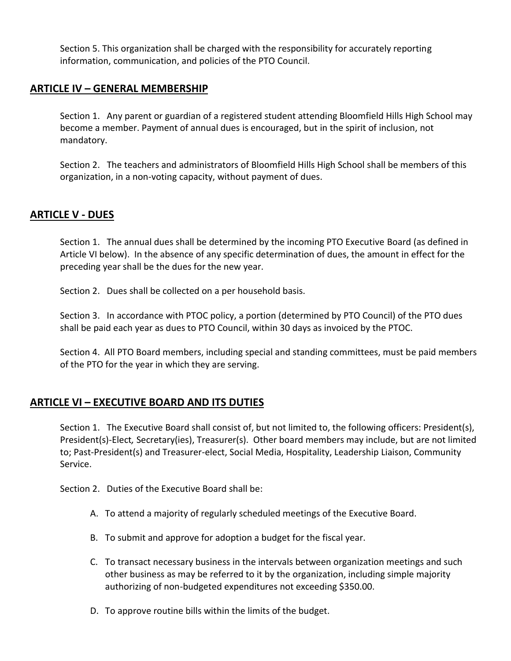Section 5. This organization shall be charged with the responsibility for accurately reporting information, communication, and policies of the PTO Council.

### **ARTICLE IV – GENERAL MEMBERSHIP**

Section 1. Any parent or guardian of a registered student attending Bloomfield Hills High School may become a member. Payment of annual dues is encouraged, but in the spirit of inclusion, not mandatory.

Section 2. The teachers and administrators of Bloomfield Hills High School shall be members of this organization, in a non-voting capacity, without payment of dues.

## **ARTICLE V - DUES**

Section 1. The annual dues shall be determined by the incoming PTO Executive Board (as defined in Article VI below). In the absence of any specific determination of dues, the amount in effect for the preceding year shall be the dues for the new year.

Section 2. Dues shall be collected on a per household basis.

Section 3. In accordance with PTOC policy, a portion (determined by PTO Council) of the PTO dues shall be paid each year as dues to PTO Council, within 30 days as invoiced by the PTOC.

Section 4. All PTO Board members, including special and standing committees, must be paid members of the PTO for the year in which they are serving.

#### **ARTICLE VI – EXECUTIVE BOARD AND ITS DUTIES**

Section 1. The Executive Board shall consist of, but not limited to, the following officers: President(s), President(s)-Elect*,* Secretary(ies), Treasurer(s). Other board members may include, but are not limited to; Past-President(s) and Treasurer-elect, Social Media, Hospitality, Leadership Liaison, Community Service.

Section 2. Duties of the Executive Board shall be:

- A. To attend a majority of regularly scheduled meetings of the Executive Board.
- B. To submit and approve for adoption a budget for the fiscal year.
- C. To transact necessary business in the intervals between organization meetings and such other business as may be referred to it by the organization, including simple majority authorizing of non-budgeted expenditures not exceeding \$350.00.
- D. To approve routine bills within the limits of the budget.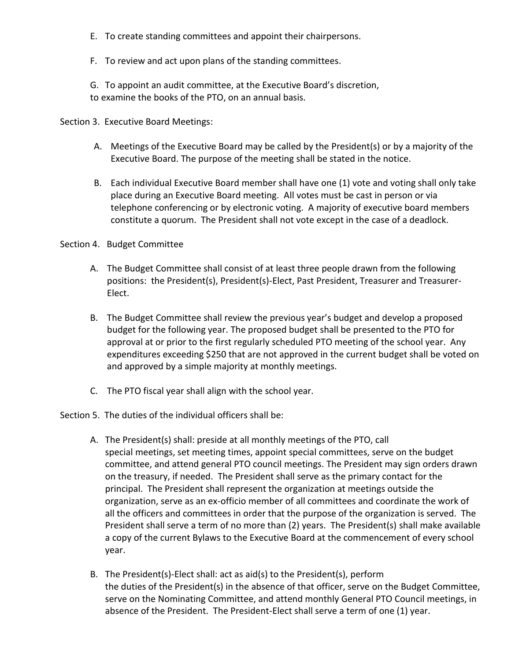- E. To create standing committees and appoint their chairpersons.
- F. To review and act upon plans of the standing committees.

G. To appoint an audit committee, at the Executive Board's discretion, to examine the books of the PTO, on an annual basis.

Section 3. Executive Board Meetings:

- A. Meetings of the Executive Board may be called by the President(s) or by a majority of the Executive Board. The purpose of the meeting shall be stated in the notice*.*
- B. Each individual Executive Board member shall have one (1) vote and voting shall only take place during an Executive Board meeting. All votes must be cast in person or via telephone conferencing or by electronic voting. A majority of executive board members constitute a quorum. The President shall not vote except in the case of a deadlock.

#### Section 4. Budget Committee

- A. The Budget Committee shall consist of at least three people drawn from the following positions: the President(s), President(s)-Elect, Past President, Treasurer and Treasurer-Elect.
- B. The Budget Committee shall review the previous year's budget and develop a proposed budget for the following year. The proposed budget shall be presented to the PTO for approval at or prior to the first regularly scheduled PTO meeting of the school year. Any expenditures exceeding \$250 that are not approved in the current budget shall be voted on and approved by a simple majority at monthly meetings.
- C. The PTO fiscal year shall align with the school year.

#### Section 5. The duties of the individual officers shall be:

- A. The President(s) shall: preside at all monthly meetings of the PTO, call special meetings, set meeting times, appoint special committees, serve on the budget committee, and attend general PTO council meetings. The President may sign orders drawn on the treasury, if needed. The President shall serve as the primary contact for the principal. The President shall represent the organization at meetings outside the organization, serve as an ex-officio member of all committees and coordinate the work of all the officers and committees in order that the purpose of the organization is served. The President shall serve a term of no more than (2) years. The President(s) shall make available a copy of the current Bylaws to the Executive Board at the commencement of every school year.
- B. The President(s)-Elect shall: act as aid(s) to the President(s), perform the duties of the President(s) in the absence of that officer, serve on the Budget Committee, serve on the Nominating Committee, and attend monthly General PTO Council meetings, in absence of the President. The President-Elect shall serve a term of one (1) year.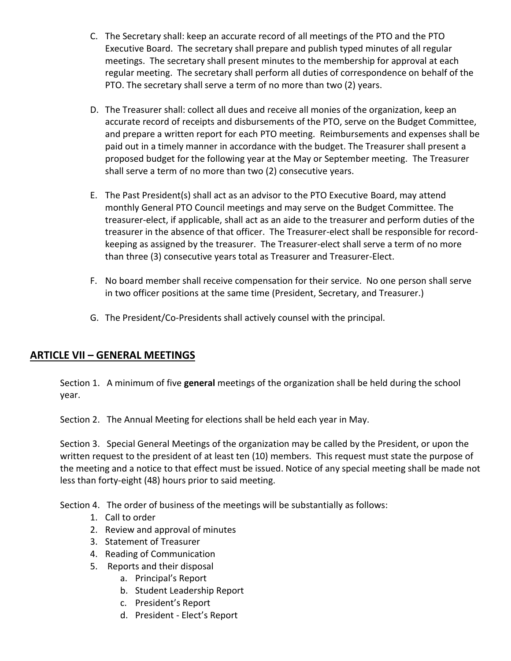- C. The Secretary shall: keep an accurate record of all meetings of the PTO and the PTO Executive Board. The secretary shall prepare and publish typed minutes of all regular meetings. The secretary shall present minutes to the membership for approval at each regular meeting. The secretary shall perform all duties of correspondence on behalf of the PTO. The secretary shall serve a term of no more than two (2) years.
- D. The Treasurer shall: collect all dues and receive all monies of the organization, keep an accurate record of receipts and disbursements of the PTO, serve on the Budget Committee, and prepare a written report for each PTO meeting. Reimbursements and expenses shall be paid out in a timely manner in accordance with the budget. The Treasurer shall present a proposed budget for the following year at the May or September meeting*.* The Treasurer shall serve a term of no more than two (2) consecutive years.
- E. The Past President(s) shall act as an advisor to the PTO Executive Board, may attend monthly General PTO Council meetings and may serve on the Budget Committee. The treasurer-elect, if applicable, shall act as an aide to the treasurer and perform duties of the treasurer in the absence of that officer. The Treasurer-elect shall be responsible for recordkeeping as assigned by the treasurer. The Treasurer-elect shall serve a term of no more than three (3) consecutive years total as Treasurer and Treasurer-Elect.
- F. No board member shall receive compensation for their service. No one person shall serve in two officer positions at the same time (President, Secretary, and Treasurer.)
- G. The President/Co-Presidents shall actively counsel with the principal.

#### **ARTICLE VII – GENERAL MEETINGS**

Section 1. A minimum of five **general** meetings of the organization shall be held during the school year.

Section 2. The Annual Meeting for elections shall be held each year in May.

Section 3. Special General Meetings of the organization may be called by the President, or upon the written request to the president of at least ten (10) members. This request must state the purpose of the meeting and a notice to that effect must be issued. Notice of any special meeting shall be made not less than forty-eight (48) hours prior to said meeting.

Section 4. The order of business of the meetings will be substantially as follows:

- 1. Call to order
- 2. Review and approval of minutes
- 3. Statement of Treasurer
- 4. Reading of Communication
- 5. Reports and their disposal
	- a. Principal's Report
	- b. Student Leadership Report
	- c. President's Report
	- d. President Elect's Report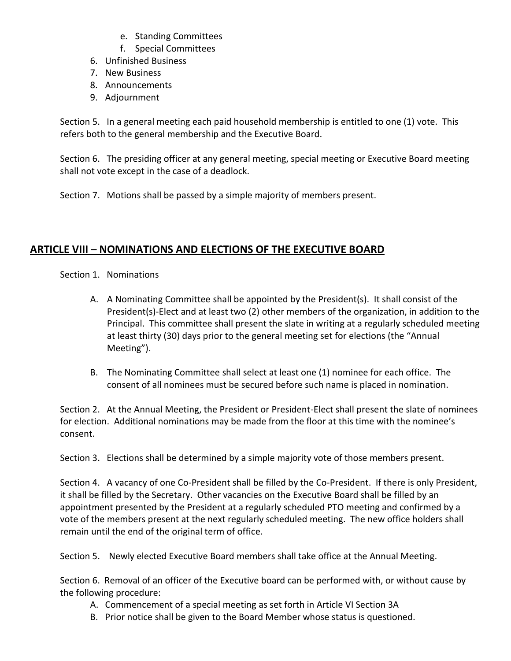- e. Standing Committees
- f. Special Committees
- 6. Unfinished Business
- 7. New Business
- 8. Announcements
- 9. Adjournment

Section 5. In a general meeting each paid household membership is entitled to one (1) vote. This refers both to the general membership and the Executive Board.

Section 6. The presiding officer at any general meeting, special meeting or Executive Board meeting shall not vote except in the case of a deadlock.

Section 7. Motions shall be passed by a simple majority of members present.

## **ARTICLE VIII – NOMINATIONS AND ELECTIONS OF THE EXECUTIVE BOARD**

Section 1. Nominations

- A. A Nominating Committee shall be appointed by the President(s). It shall consist of the President(s)-Elect and at least two (2) other members of the organization, in addition to the Principal. This committee shall present the slate in writing at a regularly scheduled meeting at least thirty (30) days prior to the general meeting set for elections (the "Annual Meeting").
- B. The Nominating Committee shall select at least one (1) nominee for each office. The consent of all nominees must be secured before such name is placed in nomination.

Section 2. At the Annual Meeting, the President or President-Elect shall present the slate of nominees for election. Additional nominations may be made from the floor at this time with the nominee's consent.

Section 3. Elections shall be determined by a simple majority vote of those members present.

Section 4. A vacancy of one Co-President shall be filled by the Co-President. If there is only President, it shall be filled by the Secretary. Other vacancies on the Executive Board shall be filled by an appointment presented by the President at a regularly scheduled PTO meeting and confirmed by a vote of the members present at the next regularly scheduled meeting. The new office holders shall remain until the end of the original term of office.

Section 5. Newly elected Executive Board members shall take office at the Annual Meeting.

Section 6. Removal of an officer of the Executive board can be performed with, or without cause by the following procedure:

- A. Commencement of a special meeting as set forth in Article VI Section 3A
- B. Prior notice shall be given to the Board Member whose status is questioned.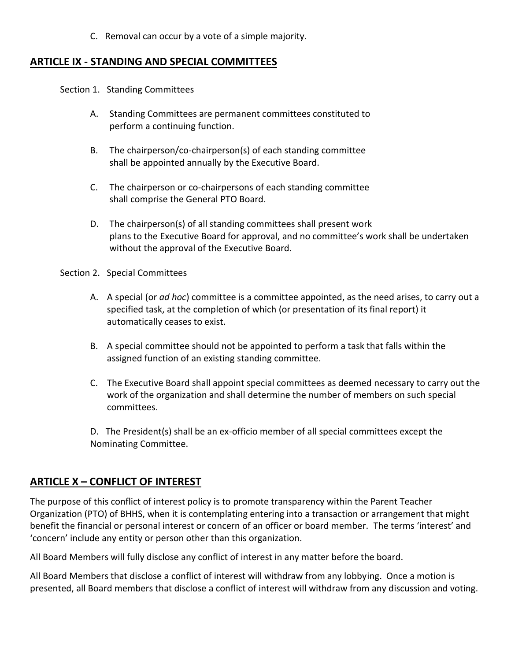C. Removal can occur by a vote of a simple majority.

#### **ARTICLE IX - STANDING AND SPECIAL COMMITTEES**

Section 1. Standing Committees

- A. Standing Committees are permanent committees constituted to perform a continuing function.
- B. The chairperson/co-chairperson(s) of each standing committee shall be appointed annually by the Executive Board.
- C. The chairperson or co-chairpersons of each standing committee shall comprise the General PTO Board.
- D. The chairperson(s) of all standing committees shall present work plans to the Executive Board for approval, and no committee's work shall be undertaken without the approval of the Executive Board.

Section 2. Special Committees

- A. A special (or *ad hoc*) committee is a committee appointed, as the need arises, to carry out a specified task, at the completion of which (or presentation of its final report) it automatically ceases to exist.
- B. A special committee should not be appointed to perform a task that falls within the assigned function of an existing standing committee.
- C. The Executive Board shall appoint special committees as deemed necessary to carry out the work of the organization and shall determine the number of members on such special committees.

D. The President(s) shall be an ex-officio member of all special committees except the Nominating Committee.

## **ARTICLE X – CONFLICT OF INTEREST**

The purpose of this conflict of interest policy is to promote transparency within the Parent Teacher Organization (PTO) of BHHS, when it is contemplating entering into a transaction or arrangement that might benefit the financial or personal interest or concern of an officer or board member. The terms 'interest' and 'concern' include any entity or person other than this organization.

All Board Members will fully disclose any conflict of interest in any matter before the board.

All Board Members that disclose a conflict of interest will withdraw from any lobbying. Once a motion is presented, all Board members that disclose a conflict of interest will withdraw from any discussion and voting.